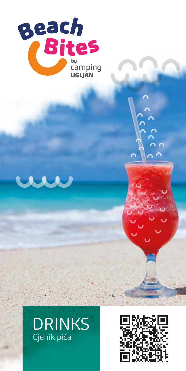





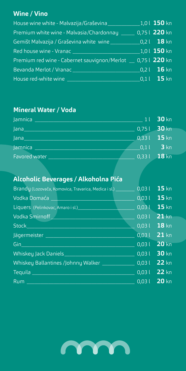### **Wine / Vino**

| House wine white - Malvazija/Graševina                                                                                                                     | $1,0$   150 kn                                        |
|------------------------------------------------------------------------------------------------------------------------------------------------------------|-------------------------------------------------------|
| Premium white wine - Malvasia/Chardonnay<br>and the state of the state of the state of the state of the state of the state of the state of the state of th | 0,75 l 220 kn                                         |
| Gemišt Malvazija / Graševina white wine                                                                                                                    | $\sqrt{0.21}$ 18 kn                                   |
| Red house wine - Vranac                                                                                                                                    | $1,0$ l 150 kn                                        |
| Premium red wine - Cabernet sauvignon/Merlot _ 0,75 l 220 kn                                                                                               |                                                       |
| Bevanda Merlot / Vranac_                                                                                                                                   | $0,21$ 16 kn                                          |
| House red-white wine                                                                                                                                       | $\overline{\begin{array}{ccc} 0,1 \end{array}}$ 15 kn |

## **Mineral Water / Voda**

| Jamnica $\overline{\phantom{a}}$ | 11 30 kn      |
|----------------------------------|---------------|
| Jana_                            | $0,751$ 30 kn |
| Jana $\_$                        | $0,331$ 15 kn |
| Jamnica                          | $0,11$ 3 kn   |
| Favored water                    | $0,331$ 18 kn |

# **Alcoholic Beverages / Alkoholna Pića**

| 0,031 | $15$ kn                                                                                                                                           |
|-------|---------------------------------------------------------------------------------------------------------------------------------------------------|
|       |                                                                                                                                                   |
|       |                                                                                                                                                   |
| 0,031 | $21$ kn                                                                                                                                           |
|       |                                                                                                                                                   |
|       |                                                                                                                                                   |
|       |                                                                                                                                                   |
|       |                                                                                                                                                   |
|       |                                                                                                                                                   |
|       |                                                                                                                                                   |
|       |                                                                                                                                                   |
|       | $0,031$ 15 kn<br>$0,031$ 15 kn<br>$0,031$ 18 kn<br>0,03 l 21 kn<br>$0,031$ 20 kn<br>0,03 l 30 kn<br>$0,031$ 22 kn<br>0,03 l 22 kn<br>0,03 l 20 kn |

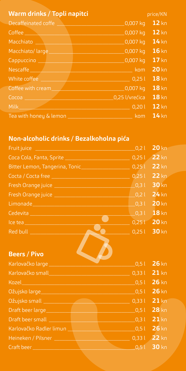| Warm drinks / Topli napitci                                       | price/KN |
|-------------------------------------------------------------------|----------|
| Decaffeinated coffe and the control of the control of<br>0,007 kg | $12$ kn  |
| 0,007 kg<br>Coffee                                                | $12$ kn  |
| 0,007 kg<br>Macchiato                                             | $14$ kn  |
| $0,007$ kg<br>Macchiato/large                                     | $16$ kn  |
| 0,007 kg<br>Cappuccino ___                                        | $17$ kn  |
| Nescaffe ________<br>a komunikom kom                              | $20$ kn  |
| White coffee<br>0,251                                             | $18$ kn  |
| 0,007 kg<br>Coffee with cream                                     | $18$ kn  |
| 0,25 l/vrećica<br>Cocoa <sup>1</sup>                              | $18$ kn  |
| Milk <b>Milk</b><br>0,201                                         | $12$ kn  |
| Tea with honey & lemon<br>kom                                     | $14$ kn  |

# **Non-alcoholic drinks / Bezalkoholna pića**

| Fruit juice <b>Experiment Contact Contact Contact Contact Contact Contact Contact Contact Contact Contact Contact</b> | 0,21            | $20$ kn         |
|-----------------------------------------------------------------------------------------------------------------------|-----------------|-----------------|
| Coca Cola, Fanta, Sprite ___________________________________                                                          | 0,251           | <b>22 kn</b>    |
| Bitter Lemon, Tangerina, Tonic___________________                                                                     | 0,251           | $22$ kn         |
|                                                                                                                       | 0,251           | $22 \text{ km}$ |
| Fresh Orange juice ___________________________                                                                        | $\bigcup$ 0,3 l | <b>30 kn</b>    |
| Fresh Orange juice _______________________                                                                            | 0,21            | $24$ kn         |
|                                                                                                                       | 0,31            | $20$ kn         |
| Cedevita ______________________                                                                                       | 0,31            | $18$ kn         |
|                                                                                                                       | 0,25            | 20 kn           |
| Red bull ____________________                                                                                         | 0,251           | $30$ kn         |
| <b>Beers / Pivo</b>                                                                                                   |                 |                 |
| Karlovačko large ________                                                                                             | 0,51            | $26$ kn         |
| Karlovačko small_____                                                                                                 | 0,331           | $21$ kn         |
| Kozel                                                                                                                 | 0,51            | 26 kn           |
| Ožujsko large_______________                                                                                          | 0,51            | 26 kn           |
| Ožujsko small <b>wykle poznatku kontrole poznatku ko</b>                                                              | 0,331           | $21$ kn         |
|                                                                                                                       | 0,51            | 28 kn           |
| Draft beer small <u>Electronic Communication</u>                                                                      | $\sqrt{0.3}$ l  | $21$ kn         |
| Karlovačko Radler limun <b>Varlandsko</b>                                                                             | 0.51            | $26$ kn         |
| Heineken / Pilsner                                                                                                    | 0,331           | $22$ kn         |
| Craft beer<br><u> 1989 - Johann John Stein, Amerikaansk politiker (</u>                                               | $0,5$ T         | 30 kn           |